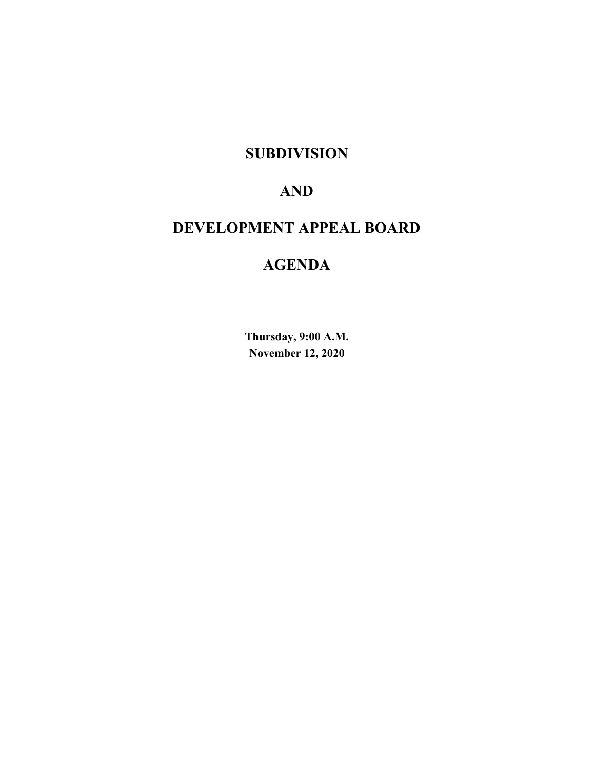# **SUBDIVISION**

# **AND**

# **DEVELOPMENT APPEAL BOARD**

# **AGENDA**

**Thursday, 9:00 A.M. November 12, 2020**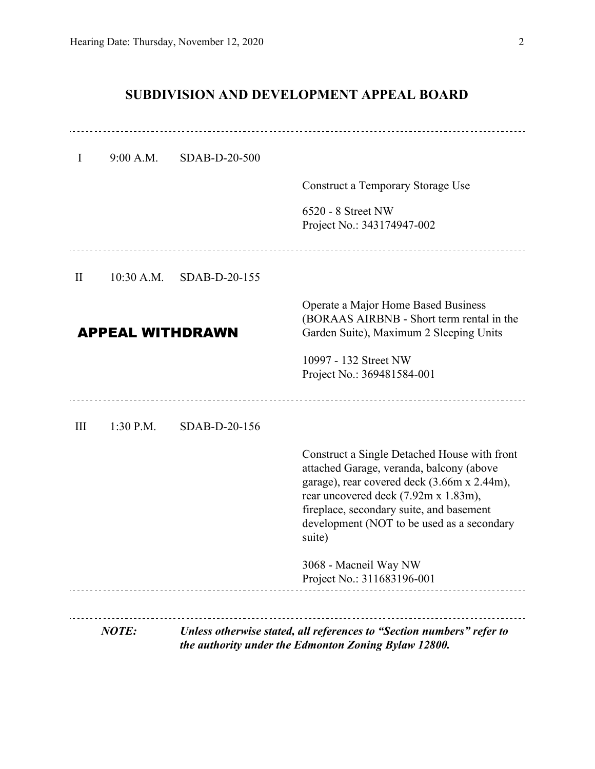# **SUBDIVISION AND DEVELOPMENT APPEAL BOARD**

| $\bf{I}$     | 9:00 A.M.               | SDAB-D-20-500 |                                                                                                                                                                                                                                                                                     |
|--------------|-------------------------|---------------|-------------------------------------------------------------------------------------------------------------------------------------------------------------------------------------------------------------------------------------------------------------------------------------|
|              |                         |               | <b>Construct a Temporary Storage Use</b>                                                                                                                                                                                                                                            |
|              |                         |               | 6520 - 8 Street NW<br>Project No.: 343174947-002                                                                                                                                                                                                                                    |
| $\mathbf{I}$ | $10:30$ A.M.            | SDAB-D-20-155 |                                                                                                                                                                                                                                                                                     |
|              | <b>APPEAL WITHDRAWN</b> |               | Operate a Major Home Based Business<br>(BORAAS AIRBNB - Short term rental in the<br>Garden Suite), Maximum 2 Sleeping Units<br>10997 - 132 Street NW<br>Project No.: 369481584-001                                                                                                  |
| III          | $1:30$ P.M.             | SDAB-D-20-156 |                                                                                                                                                                                                                                                                                     |
|              |                         |               | Construct a Single Detached House with front<br>attached Garage, veranda, balcony (above<br>garage), rear covered deck (3.66m x 2.44m),<br>rear uncovered deck (7.92m x 1.83m),<br>fireplace, secondary suite, and basement<br>development (NOT to be used as a secondary<br>suite) |
|              |                         |               | 3068 - Macneil Way NW<br>Project No.: 311683196-001                                                                                                                                                                                                                                 |
|              | NOTE:                   |               | Unless otherwise stated, all references to "Section numbers" refer to<br>the authority under the Edmonton Zoning Bylaw 12800.                                                                                                                                                       |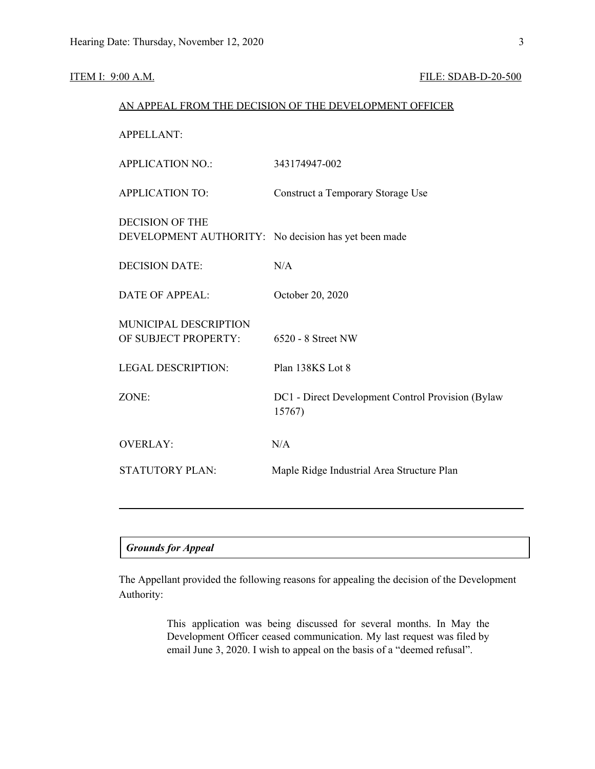### **ITEM I: 9:00 A.M. FILE: SDAB-D-20-500**

| AN APPEAL FROM THE DECISION OF THE DEVELOPMENT OFFICER                         |                                                             |  |  |  |
|--------------------------------------------------------------------------------|-------------------------------------------------------------|--|--|--|
| <b>APPELLANT:</b>                                                              |                                                             |  |  |  |
| <b>APPLICATION NO.:</b>                                                        | 343174947-002                                               |  |  |  |
| <b>APPLICATION TO:</b>                                                         | Construct a Temporary Storage Use                           |  |  |  |
| <b>DECISION OF THE</b><br>DEVELOPMENT AUTHORITY: No decision has yet been made |                                                             |  |  |  |
| <b>DECISION DATE:</b>                                                          | N/A                                                         |  |  |  |
| <b>DATE OF APPEAL:</b>                                                         | October 20, 2020                                            |  |  |  |
| MUNICIPAL DESCRIPTION<br>OF SUBJECT PROPERTY:                                  | 6520 - 8 Street NW                                          |  |  |  |
| <b>LEGAL DESCRIPTION:</b>                                                      | Plan 138KS Lot 8                                            |  |  |  |
| ZONE:                                                                          | DC1 - Direct Development Control Provision (Bylaw<br>15767) |  |  |  |
| <b>OVERLAY:</b>                                                                | N/A                                                         |  |  |  |
| <b>STATUTORY PLAN:</b>                                                         | Maple Ridge Industrial Area Structure Plan                  |  |  |  |
|                                                                                |                                                             |  |  |  |

| <b>Grounds for Appeal</b> |  |
|---------------------------|--|
|---------------------------|--|

The Appellant provided the following reasons for appealing the decision of the Development Authority:

> This application was being discussed for several months. In May the Development Officer ceased communication. My last request was filed by email June 3, 2020. I wish to appeal on the basis of a "deemed refusal".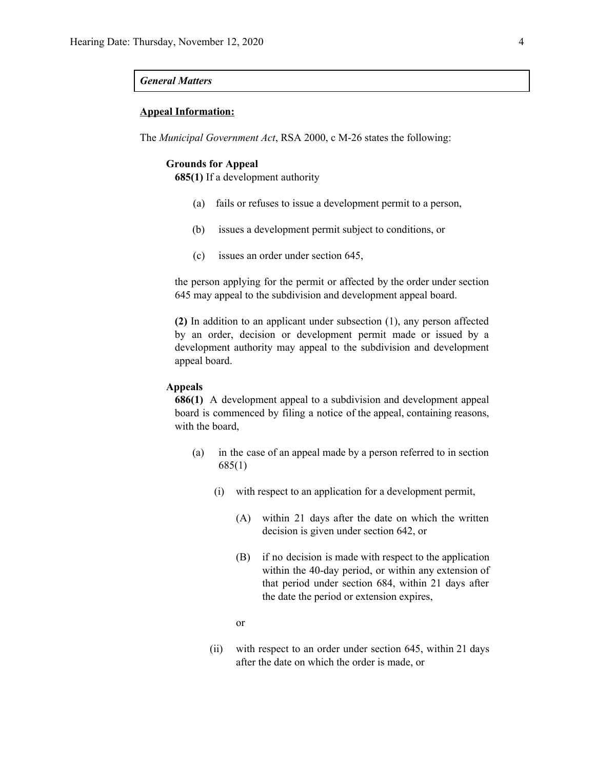#### *General Matters*

#### **Appeal Information:**

The *Municipal Government Act*, RSA 2000, c M-26 states the following:

#### **Grounds for Appeal**

**685(1)** If a development authority

- (a) fails or refuses to issue a development permit to a person,
- (b) issues a development permit subject to conditions, or
- (c) issues an order under section 645,

the person applying for the permit or affected by the order under section 645 may appeal to the subdivision and development appeal board.

**(2)** In addition to an applicant under subsection (1), any person affected by an order, decision or development permit made or issued by a development authority may appeal to the subdivision and development appeal board.

#### **Appeals**

**686(1)** A development appeal to a subdivision and development appeal board is commenced by filing a notice of the appeal, containing reasons, with the board,

- (a) in the case of an appeal made by a person referred to in section 685(1)
	- (i) with respect to an application for a development permit,
		- (A) within 21 days after the date on which the written decision is given under section 642, or
		- (B) if no decision is made with respect to the application within the 40-day period, or within any extension of that period under section 684, within 21 days after the date the period or extension expires,
		- or
	- (ii) with respect to an order under section 645, within 21 days after the date on which the order is made, or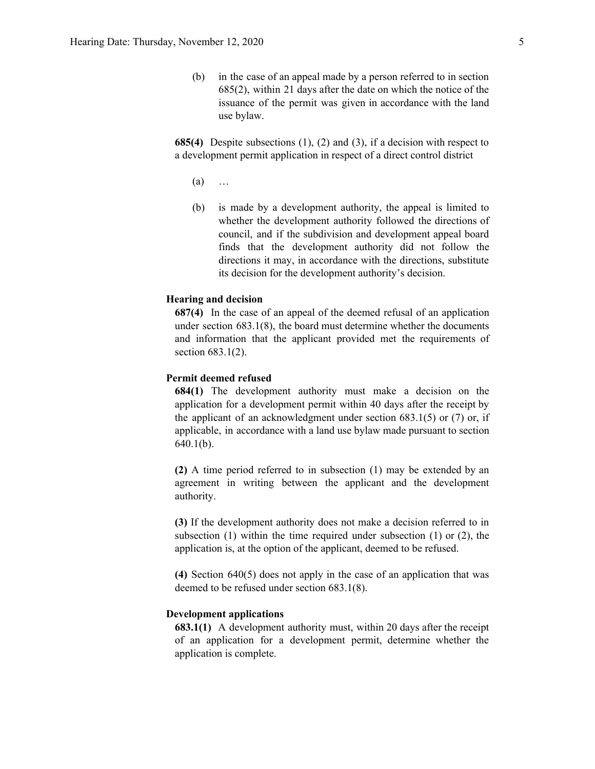(b) in the case of an appeal made by a person referred to in section 685(2), within 21 days after the date on which the notice of the issuance of the permit was given in accordance with the land use bylaw.

**685(4)** Despite subsections (1), (2) and (3), if a decision with respect to a development permit application in respect of a direct control district

- (a) …
- (b) is made by a development authority, the appeal is limited to whether the development authority followed the directions of council, and if the subdivision and development appeal board finds that the development authority did not follow the directions it may, in accordance with the directions, substitute its decision for the development authority's decision.

#### **Hearing and decision**

**687(4)** In the case of an appeal of the deemed refusal of an application under section 683.1(8), the board must determine whether the documents and information that the applicant provided met the requirements of section 683.1(2).

#### **Permit deemed refused**

**684(1)** The development authority must make a decision on the application for a development permit within 40 days after the receipt by the applicant of an acknowledgment under section  $683.1(5)$  or  $(7)$  or, if applicable, in accordance with a land use bylaw made pursuant to section 640.1(b).

**(2)** A time period referred to in subsection (1) may be extended by an agreement in writing between the applicant and the development authority.

**(3)** If the development authority does not make a decision referred to in subsection (1) within the time required under subsection (1) or (2), the application is, at the option of the applicant, deemed to be refused.

**(4)** Section 640(5) does not apply in the case of an application that was deemed to be refused under section 683.1(8).

#### **Development applications**

**683.1(1)** A development authority must, within 20 days after the receipt of an application for a development permit, determine whether the application is complete.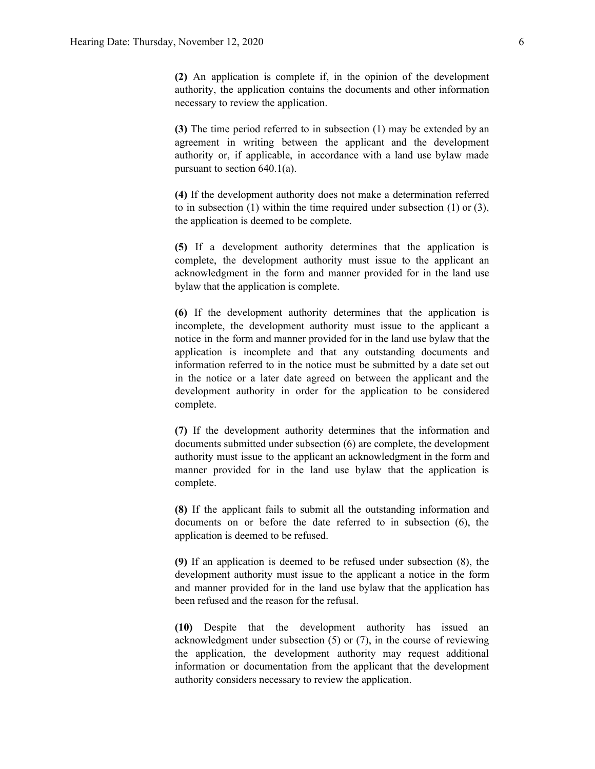**(2)** An application is complete if, in the opinion of the development authority, the application contains the documents and other information necessary to review the application.

**(3)** The time period referred to in subsection (1) may be extended by an agreement in writing between the applicant and the development authority or, if applicable, in accordance with a land use bylaw made pursuant to section 640.1(a).

**(4)** If the development authority does not make a determination referred to in subsection (1) within the time required under subsection (1) or (3), the application is deemed to be complete.

**(5)** If a development authority determines that the application is complete, the development authority must issue to the applicant an acknowledgment in the form and manner provided for in the land use bylaw that the application is complete.

**(6)** If the development authority determines that the application is incomplete, the development authority must issue to the applicant a notice in the form and manner provided for in the land use bylaw that the application is incomplete and that any outstanding documents and information referred to in the notice must be submitted by a date set out in the notice or a later date agreed on between the applicant and the development authority in order for the application to be considered complete.

**(7)** If the development authority determines that the information and documents submitted under subsection (6) are complete, the development authority must issue to the applicant an acknowledgment in the form and manner provided for in the land use bylaw that the application is complete.

**(8)** If the applicant fails to submit all the outstanding information and documents on or before the date referred to in subsection (6), the application is deemed to be refused.

**(9)** If an application is deemed to be refused under subsection (8), the development authority must issue to the applicant a notice in the form and manner provided for in the land use bylaw that the application has been refused and the reason for the refusal.

**(10)** Despite that the development authority has issued an acknowledgment under subsection (5) or (7), in the course of reviewing the application, the development authority may request additional information or documentation from the applicant that the development authority considers necessary to review the application.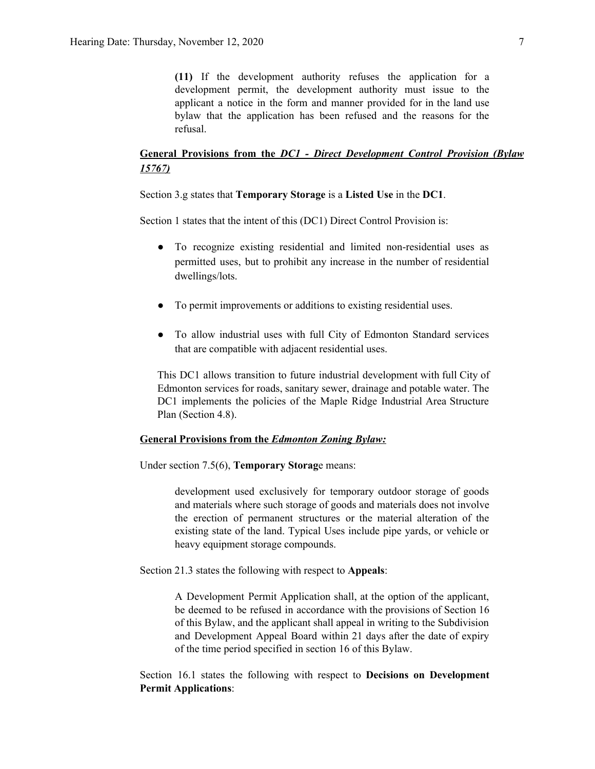**(11)** If the development authority refuses the application for a development permit, the development authority must issue to the applicant a notice in the form and manner provided for in the land use bylaw that the application has been refused and the reasons for the refusal.

# **General Provisions from the** *DC1 - Direct Development Control Provision (Bylaw 15767)*

Section 3.g states that **Temporary Storage** is a **Listed Use** in the **DC1**.

Section 1 states that the intent of this (DC1) Direct Control Provision is:

- To recognize existing residential and limited non-residential uses as permitted uses, but to prohibit any increase in the number of residential dwellings/lots.
- To permit improvements or additions to existing residential uses.
- To allow industrial uses with full City of Edmonton Standard services that are compatible with adjacent residential uses.

This DC1 allows transition to future industrial development with full City of Edmonton services for roads, sanitary sewer, drainage and potable water. The DC1 implements the policies of the Maple Ridge Industrial Area Structure Plan (Section 4.8).

## **General Provisions from the** *Edmonton Zoning Bylaw:*

Under section 7.5(6), **Temporary Storag**e means:

development used exclusively for temporary outdoor storage of goods and materials where such storage of goods and materials does not involve the erection of permanent structures or the material alteration of the existing state of the land. Typical Uses include pipe yards, or vehicle or heavy equipment storage compounds.

Section 21.3 states the following with respect to **Appeals**:

A Development Permit Application shall, at the option of the applicant, be deemed to be refused in accordance with the provisions of Section 16 of this Bylaw, and the applicant shall appeal in writing to the Subdivision and Development Appeal Board within 21 days after the date of expiry of the time period specified in section 16 of this Bylaw.

Section 16.1 states the following with respect to **Decisions on Development Permit Applications**: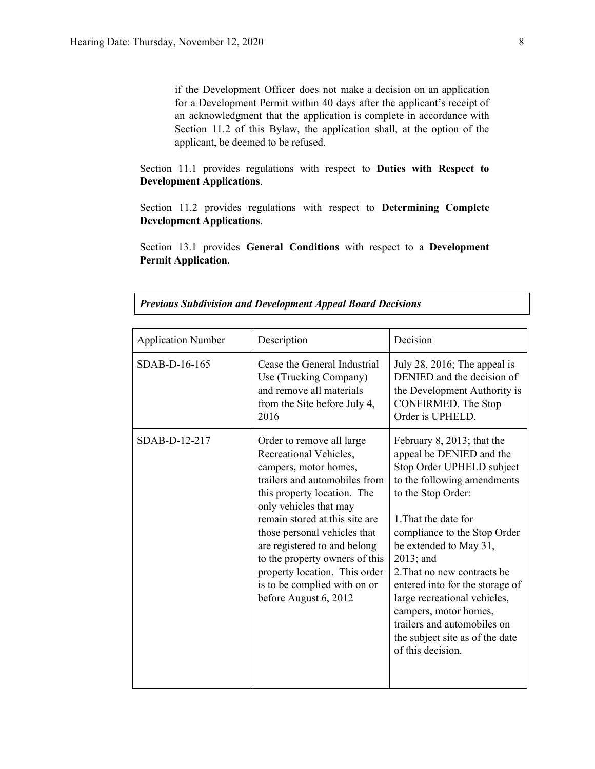if the Development Officer does not make a decision on an application for a Development Permit within 40 days after the applicant's receipt of an acknowledgment that the application is complete in accordance with Section 11.2 of this Bylaw, the application shall, at the option of the applicant, be deemed to be refused.

Section 11.1 provides regulations with respect to **Duties with Respect to Development Applications**.

Section 11.2 provides regulations with respect to **Determining Complete Development Applications**.

Section 13.1 provides **General Conditions** with respect to a **Development Permit Application**.

| <b>Application Number</b> | Description                                                                                                                                                                                                                                                                                                                                                                                          | Decision                                                                                                                                                                                                                                                                                                                                                                                                                                                     |
|---------------------------|------------------------------------------------------------------------------------------------------------------------------------------------------------------------------------------------------------------------------------------------------------------------------------------------------------------------------------------------------------------------------------------------------|--------------------------------------------------------------------------------------------------------------------------------------------------------------------------------------------------------------------------------------------------------------------------------------------------------------------------------------------------------------------------------------------------------------------------------------------------------------|
| SDAB-D-16-165             | Cease the General Industrial<br>Use (Trucking Company)<br>and remove all materials<br>from the Site before July 4,<br>2016                                                                                                                                                                                                                                                                           | July 28, 2016; The appeal is<br>DENIED and the decision of<br>the Development Authority is<br><b>CONFIRMED.</b> The Stop<br>Order is UPHELD.                                                                                                                                                                                                                                                                                                                 |
| SDAB-D-12-217             | Order to remove all large<br>Recreational Vehicles,<br>campers, motor homes,<br>trailers and automobiles from<br>this property location. The<br>only vehicles that may<br>remain stored at this site are<br>those personal vehicles that<br>are registered to and belong<br>to the property owners of this<br>property location. This order<br>is to be complied with on or<br>before August 6, 2012 | February 8, 2013; that the<br>appeal be DENIED and the<br>Stop Order UPHELD subject<br>to the following amendments<br>to the Stop Order:<br>1. That the date for<br>compliance to the Stop Order<br>be extended to May 31,<br>$2013$ ; and<br>2. That no new contracts be<br>entered into for the storage of<br>large recreational vehicles,<br>campers, motor homes,<br>trailers and automobiles on<br>the subject site as of the date<br>of this decision. |

*Previous Subdivision and Development Appeal Board Decisions*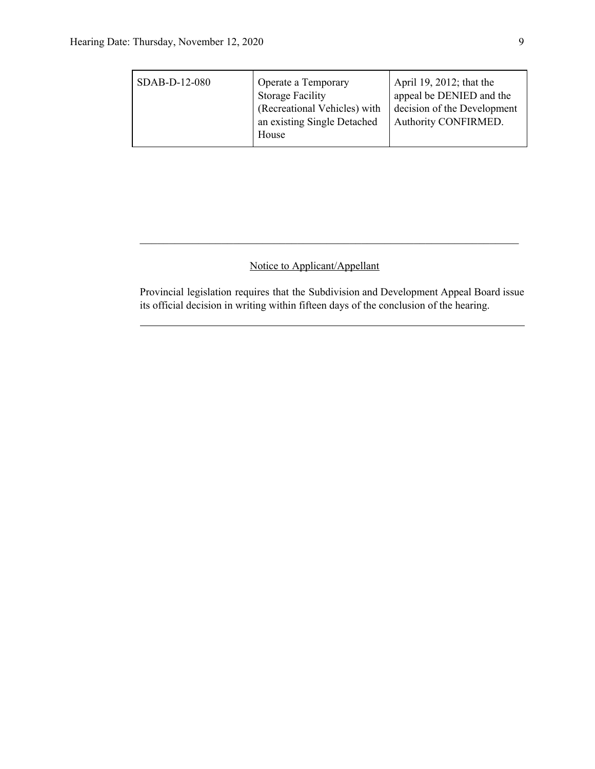| SDAB-D-12-080 | Operate a Temporary<br><b>Storage Facility</b><br>(Recreational Vehicles) with<br>an existing Single Detached<br>House | April 19, 2012; that the<br>appeal be DENIED and the<br>decision of the Development<br><b>Authority CONFIRMED.</b> |
|---------------|------------------------------------------------------------------------------------------------------------------------|--------------------------------------------------------------------------------------------------------------------|
|---------------|------------------------------------------------------------------------------------------------------------------------|--------------------------------------------------------------------------------------------------------------------|

# Notice to Applicant/Appellant

Provincial legislation requires that the Subdivision and Development Appeal Board issue its official decision in writing within fifteen days of the conclusion of the hearing.

 $\mathcal{L}_\text{max}$  , and the contribution of the contribution of the contribution of the contribution of the contribution of the contribution of the contribution of the contribution of the contribution of the contribution of t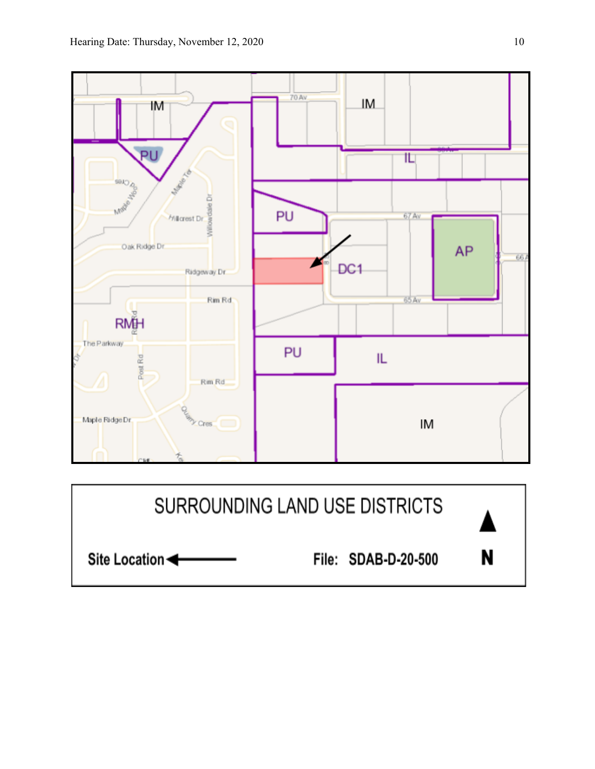

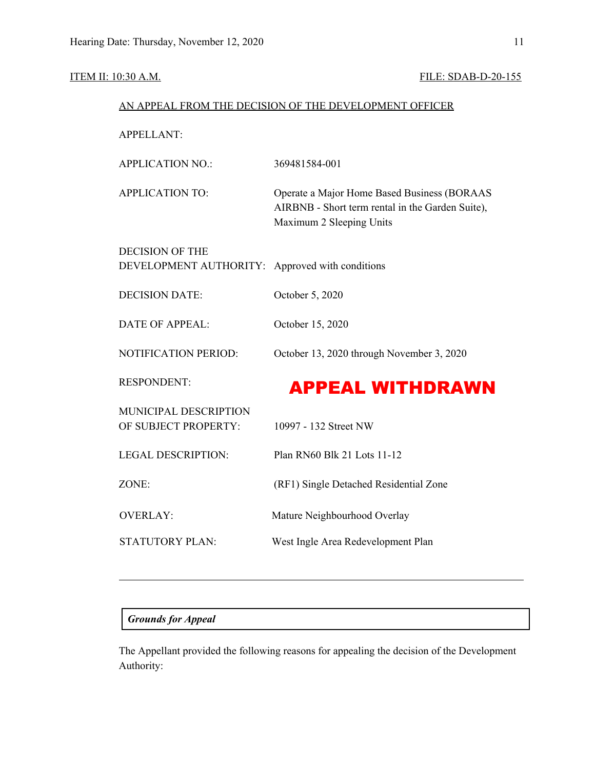# ITEM II: 10:30 A.M. FILE: SDAB-D-20-155

| AN APPEAL FROM THE DECISION OF THE DEVELOPMENT OFFICER |                                                                                                                             |  |  |  |
|--------------------------------------------------------|-----------------------------------------------------------------------------------------------------------------------------|--|--|--|
| <b>APPELLANT:</b>                                      |                                                                                                                             |  |  |  |
| <b>APPLICATION NO.:</b>                                | 369481584-001                                                                                                               |  |  |  |
| <b>APPLICATION TO:</b>                                 | Operate a Major Home Based Business (BORAAS<br>AIRBNB - Short term rental in the Garden Suite),<br>Maximum 2 Sleeping Units |  |  |  |
| <b>DECISION OF THE</b>                                 |                                                                                                                             |  |  |  |
| DEVELOPMENT AUTHORITY:                                 | Approved with conditions                                                                                                    |  |  |  |
| <b>DECISION DATE:</b>                                  | October 5, 2020                                                                                                             |  |  |  |
| <b>DATE OF APPEAL:</b>                                 | October 15, 2020                                                                                                            |  |  |  |
| NOTIFICATION PERIOD:                                   | October 13, 2020 through November 3, 2020                                                                                   |  |  |  |
| <b>RESPONDENT:</b>                                     | <b>APPEAL WITHDRAWN</b>                                                                                                     |  |  |  |
| MUNICIPAL DESCRIPTION<br>OF SUBJECT PROPERTY:          | 10997 - 132 Street NW                                                                                                       |  |  |  |
| <b>LEGAL DESCRIPTION:</b>                              | Plan RN60 Blk 21 Lots 11-12                                                                                                 |  |  |  |
| ZONE:                                                  | (RF1) Single Detached Residential Zone                                                                                      |  |  |  |
| <b>OVERLAY:</b>                                        | Mature Neighbourhood Overlay                                                                                                |  |  |  |
| <b>STATUTORY PLAN:</b>                                 | West Ingle Area Redevelopment Plan                                                                                          |  |  |  |

# *Grounds for Appeal*

The Appellant provided the following reasons for appealing the decision of the Development Authority: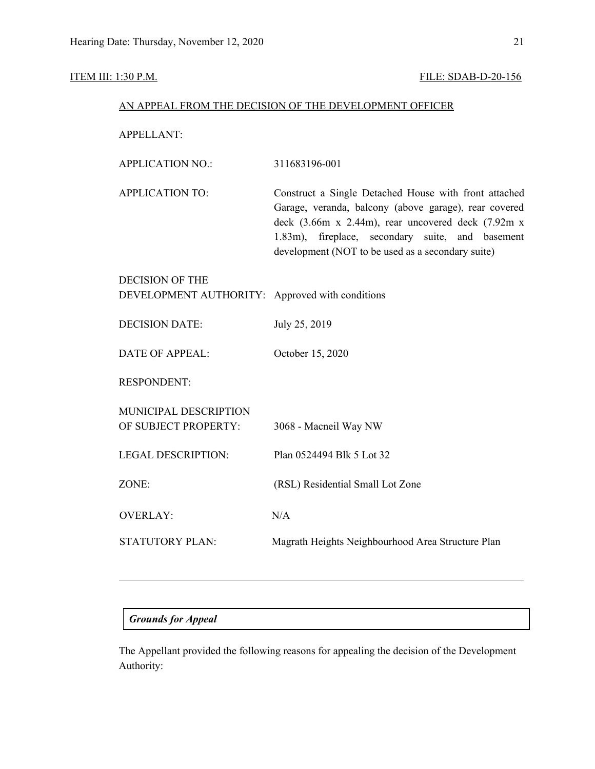### ITEM III: 1:30 P.M. FILE: SDAB-D-20-156

| AN APPEAL FROM THE DECISION OF THE DEVELOPMENT OFFICER |
|--------------------------------------------------------|
|--------------------------------------------------------|

APPELLANT:

| APPLICATION NO.: | 311683196-001 |
|------------------|---------------|
|------------------|---------------|

APPLICATION TO: Construct a Single Detached House with front attached Garage, veranda, balcony (above garage), rear covered deck (3.66m x 2.44m), rear uncovered deck (7.92m x 1.83m), fireplace, secondary suite, and basement development (NOT to be used as a secondary suite)

| <b>DECISION OF THE</b><br>DEVELOPMENT AUTHORITY: Approved with conditions |                                                   |
|---------------------------------------------------------------------------|---------------------------------------------------|
| <b>DECISION DATE:</b>                                                     | July 25, 2019                                     |
| <b>DATE OF APPEAL:</b>                                                    | October 15, 2020                                  |
| <b>RESPONDENT:</b>                                                        |                                                   |
| <b>MUNICIPAL DESCRIPTION</b><br>OF SUBJECT PROPERTY:                      | 3068 - Macneil Way NW                             |
| <b>LEGAL DESCRIPTION:</b>                                                 | Plan 0524494 Blk 5 Lot 32                         |
| ZONE:                                                                     | (RSL) Residential Small Lot Zone                  |
| <b>OVERLAY:</b>                                                           | N/A                                               |
| <b>STATUTORY PLAN:</b>                                                    | Magrath Heights Neighbourhood Area Structure Plan |

## *Grounds for Appeal*

The Appellant provided the following reasons for appealing the decision of the Development Authority: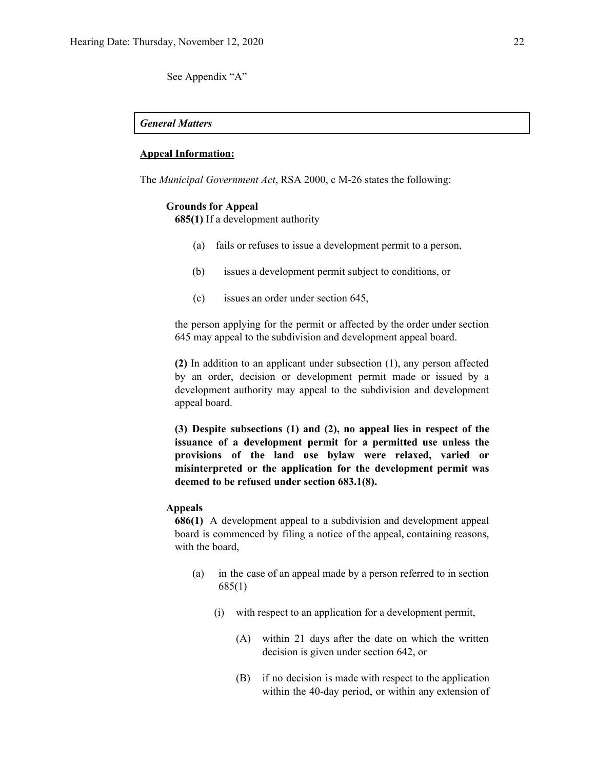See Appendix "A"

#### *General Matters*

#### **Appeal Information:**

The *Municipal Government Act*, RSA 2000, c M-26 states the following:

#### **Grounds for Appeal**

**685(1)** If a development authority

- (a) fails or refuses to issue a development permit to a person,
- (b) issues a development permit subject to conditions, or
- (c) issues an order under section 645,

the person applying for the permit or affected by the order under section 645 may appeal to the subdivision and development appeal board.

**(2)** In addition to an applicant under subsection (1), any person affected by an order, decision or development permit made or issued by a development authority may appeal to the subdivision and development appeal board.

**(3) Despite subsections (1) and (2), no appeal lies in respect of the issuance of a development permit for a permitted use unless the provisions of the land use bylaw were relaxed, varied or misinterpreted or the application for the development permit was deemed to be refused under section 683.1(8).**

### **Appeals**

**686(1)** A development appeal to a subdivision and development appeal board is commenced by filing a notice of the appeal, containing reasons, with the board,

- (a) in the case of an appeal made by a person referred to in section 685(1)
	- (i) with respect to an application for a development permit,
		- (A) within 21 days after the date on which the written decision is given under section 642, or
		- (B) if no decision is made with respect to the application within the 40-day period, or within any extension of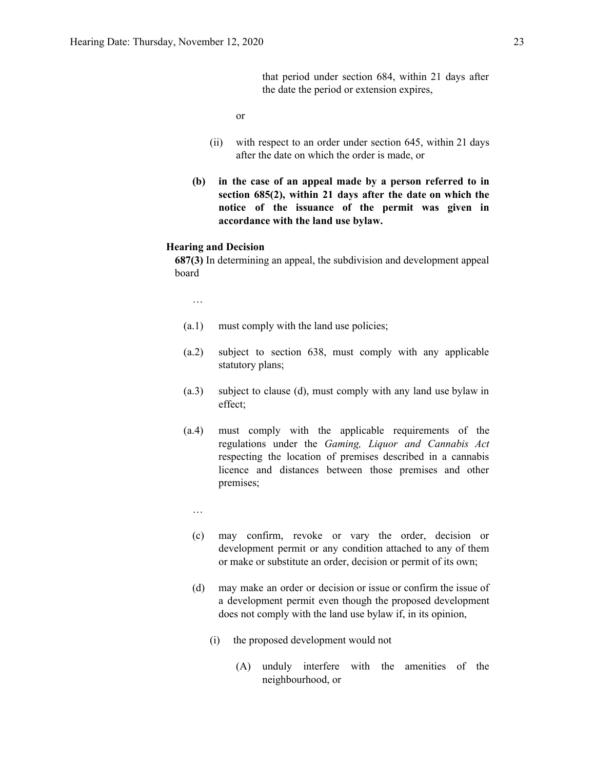that period under section 684, within 21 days after the date the period or extension expires,

or

- (ii) with respect to an order under section 645, within 21 days after the date on which the order is made, or
- **(b) in the case of an appeal made by a person referred to in section 685(2), within 21 days after the date on which the notice of the issuance of the permit was given in accordance with the land use bylaw.**

#### **Hearing and Decision**

**687(3)** In determining an appeal, the subdivision and development appeal board

…

- (a.1) must comply with the land use policies;
- (a.2) subject to section 638, must comply with any applicable statutory plans;
- (a.3) subject to clause (d), must comply with any land use bylaw in effect;
- (a.4) must comply with the applicable requirements of the regulations under the *Gaming, Liquor and Cannabis Act* respecting the location of premises described in a cannabis licence and distances between those premises and other premises;
	- …
	- (c) may confirm, revoke or vary the order, decision or development permit or any condition attached to any of them or make or substitute an order, decision or permit of its own;
	- (d) may make an order or decision or issue or confirm the issue of a development permit even though the proposed development does not comply with the land use bylaw if, in its opinion,
		- (i) the proposed development would not
			- (A) unduly interfere with the amenities of the neighbourhood, or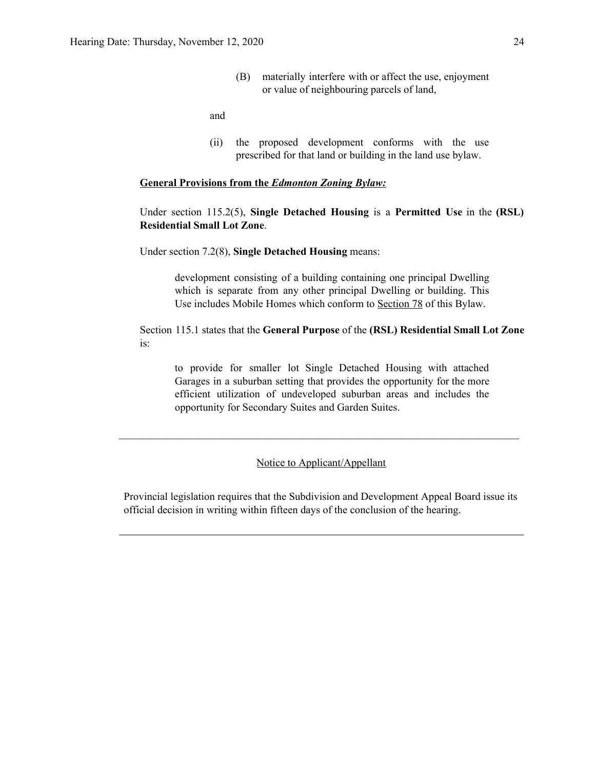(B) materially interfere with or affect the use, enjoyment or value of neighbouring parcels of land,

and

(ii) the proposed development conforms with the use prescribed for that land or building in the land use bylaw.

# **General Provisions from the** *Edmonton Zoning Bylaw:*

Under section 115.2(5), **Single Detached Housing** is a **Permitted Use** in the **(RSL) Residential Small Lot Zone**.

Under section 7.2(8), **Single Detached Housing** means:

development consisting of a building containing one principal Dwelling which is separate from any other principal Dwelling or building. This Use includes Mobile Homes which conform to [Section](https://webdocs.edmonton.ca/InfraPlan/zoningbylaw/ZoningBylaw/Part1/Special_Land/78__Mobile_Homes.htm) 78 of this Bylaw.

Section 115.1 states that the **General Purpose** of the **(RSL) Residential Small Lot Zone** is:

to provide for smaller lot Single Detached Housing with attached Garages in a suburban setting that provides the opportunity for the more efficient utilization of undeveloped suburban areas and includes the opportunity for Secondary Suites and Garden Suites.

Notice to Applicant/Appellant

 $\mathcal{L}_\text{max} = \frac{1}{2} \sum_{i=1}^n \mathcal{L}_\text{max}(\mathbf{z}_i - \mathbf{z}_i)$ 

Provincial legislation requires that the Subdivision and Development Appeal Board issue its official decision in writing within fifteen days of the conclusion of the hearing.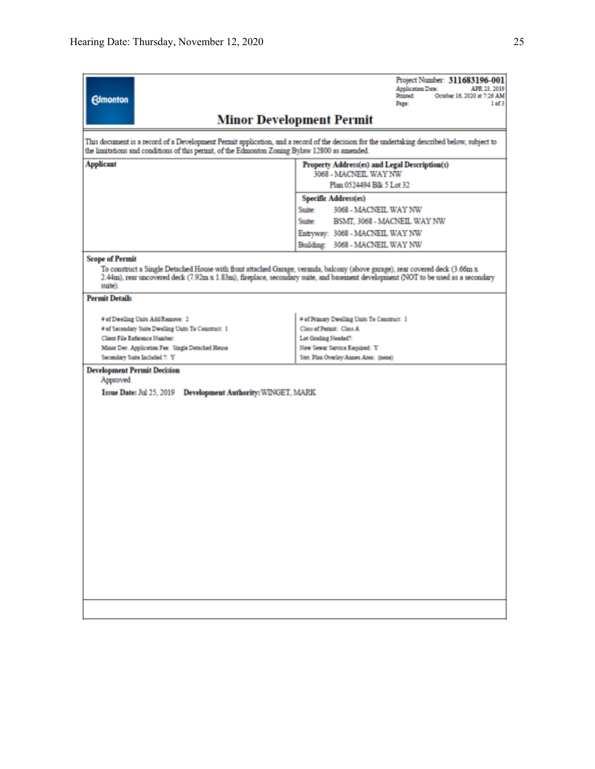|                                                                                               | Project Number: 311683196-001<br><b>Application Date:</b><br>APR 23, 2019                                                                                                                                                                                        |  |  |  |  |
|-----------------------------------------------------------------------------------------------|------------------------------------------------------------------------------------------------------------------------------------------------------------------------------------------------------------------------------------------------------------------|--|--|--|--|
| <b>Edmonton</b>                                                                               | Printed:<br>October 16, 2020 at 7:26 AM<br>1 of 3<br>Page:                                                                                                                                                                                                       |  |  |  |  |
|                                                                                               | <b>Minor Development Permit</b>                                                                                                                                                                                                                                  |  |  |  |  |
| the limitations and conditions of this permit, of the Edmonton Zoning Bylaw 12800 as amended. | This document is a record of a Development Permit application, and a record of the decision for the undertaking described below, subject to                                                                                                                      |  |  |  |  |
| <b>Applicant</b>                                                                              | Property Address(es) and Legal Description(s)<br>3068 - MACNEIL WAY NW                                                                                                                                                                                           |  |  |  |  |
|                                                                                               | Plan 0524494 Blk 5 Lot 32                                                                                                                                                                                                                                        |  |  |  |  |
|                                                                                               | Specific Address(es)                                                                                                                                                                                                                                             |  |  |  |  |
|                                                                                               | Suite:<br>3068 - MACNEIL WAY NW                                                                                                                                                                                                                                  |  |  |  |  |
|                                                                                               | Suite:<br>BSMT, 3068 - MACNEIL WAY NW                                                                                                                                                                                                                            |  |  |  |  |
|                                                                                               | Entryway: 3068 - MACNEIL WAY NW                                                                                                                                                                                                                                  |  |  |  |  |
|                                                                                               | Building: 3068 - MACNEIL WAY NW                                                                                                                                                                                                                                  |  |  |  |  |
| <b>Scope of Permit</b><br>suite).                                                             | To construct a Single Detached House with front attached Garage, veranda, balcony (above garage), rear covered deck (3.66m x<br>2.44m), rear uncovered deck (7.92m x 1.83m), fireplace, secondary suite, and basement development (NOT to be used as a secondary |  |  |  |  |
| <b>Permit Details</b>                                                                         |                                                                                                                                                                                                                                                                  |  |  |  |  |
| # of Dwelling Units Add/Remove: 2                                                             | # of Primary Dwelling Units To Construct: 1                                                                                                                                                                                                                      |  |  |  |  |
| # of Secondary Suite Dwelling Units To Construct: 1                                           | Class of Permit: Class A                                                                                                                                                                                                                                         |  |  |  |  |
| Client File Reference Number:                                                                 | Lot Grading Needed?:                                                                                                                                                                                                                                             |  |  |  |  |
| Minor Dev. Application Fee: Single Detached House                                             | New Sewer Service Required: Y                                                                                                                                                                                                                                    |  |  |  |  |
| Secondary Suite Included 7: Y                                                                 | Stat. Plan Overlay/Annex Area: (none)                                                                                                                                                                                                                            |  |  |  |  |
| Approved                                                                                      | <b>Development Permit Decision</b>                                                                                                                                                                                                                               |  |  |  |  |
| Issue Date: Jul 25, 2019 Development Authority: WINGET, MARK                                  |                                                                                                                                                                                                                                                                  |  |  |  |  |
|                                                                                               |                                                                                                                                                                                                                                                                  |  |  |  |  |
|                                                                                               |                                                                                                                                                                                                                                                                  |  |  |  |  |
|                                                                                               |                                                                                                                                                                                                                                                                  |  |  |  |  |
|                                                                                               |                                                                                                                                                                                                                                                                  |  |  |  |  |
|                                                                                               |                                                                                                                                                                                                                                                                  |  |  |  |  |
|                                                                                               |                                                                                                                                                                                                                                                                  |  |  |  |  |
|                                                                                               |                                                                                                                                                                                                                                                                  |  |  |  |  |
|                                                                                               |                                                                                                                                                                                                                                                                  |  |  |  |  |
|                                                                                               |                                                                                                                                                                                                                                                                  |  |  |  |  |
|                                                                                               |                                                                                                                                                                                                                                                                  |  |  |  |  |
|                                                                                               |                                                                                                                                                                                                                                                                  |  |  |  |  |
|                                                                                               |                                                                                                                                                                                                                                                                  |  |  |  |  |
|                                                                                               |                                                                                                                                                                                                                                                                  |  |  |  |  |
|                                                                                               |                                                                                                                                                                                                                                                                  |  |  |  |  |
|                                                                                               |                                                                                                                                                                                                                                                                  |  |  |  |  |
|                                                                                               |                                                                                                                                                                                                                                                                  |  |  |  |  |
|                                                                                               |                                                                                                                                                                                                                                                                  |  |  |  |  |
|                                                                                               |                                                                                                                                                                                                                                                                  |  |  |  |  |
|                                                                                               |                                                                                                                                                                                                                                                                  |  |  |  |  |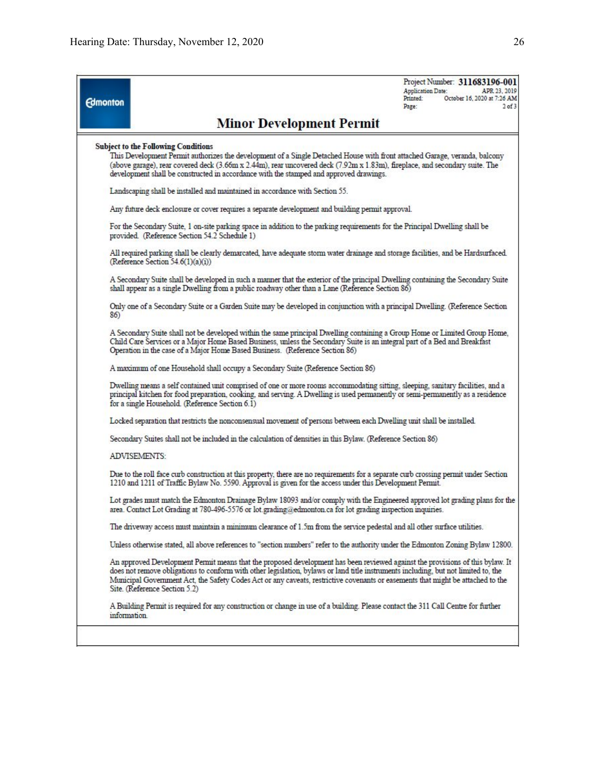Project Number: 311683196-001 **Application Date:** APR 23 2019 October 16, 2020 at 7:26 AM  $2$  of  $3$ 

# Printed: **Edmonton** Dage-**Minor Development Permit Subject to the Following Conditions** This Development Permit authorizes the development of a Single Detached House with front attached Garage, veranda, balcony (above garage), rear covered deck (3.66m x 2.44m), rear uncovered deck (7.92m x 1.83m), fireplace, and secondary suite. The development shall be constructed in accordance with the stamped and approved drawings. Landscaping shall be installed and maintained in accordance with Section 55. Any future deck enclosure or cover requires a separate development and building permit approval. For the Secondary Suite, 1 on-site parking space in addition to the parking requirements for the Principal Dwelling shall be provided. (Reference Section 54.2 Schedule 1) All required parking shall be clearly demarcated, have adequate storm water drainage and storage facilities, and be Hardsurfaced. (Reference Section 54.6(1)(a)(i)) A Secondary Suite shall be developed in such a manner that the exterior of the principal Dwelling containing the Secondary Suite shall appear as a single Dwelling from a public roadway other than a Lane (Reference Section 86) Only one of a Secondary Suite or a Garden Suite may be developed in conjunction with a principal Dwelling. (Reference Section 86) A Secondary Suite shall not be developed within the same principal Dwelling containing a Group Home or Limited Group Home, Child Care Services or a Major Home Based Business, unless the Secondary Suite is an integral part of a Bed and Breakfast Operation in the case of a Major Home Based Business. (Reference Section 86) A maximum of one Household shall occupy a Secondary Suite (Reference Section 86) Dwelling means a self contained unit comprised of one or more rooms accommodating sitting, sleeping, sanitary facilities, and a principal kitchen for food preparation, cooking, and serving. A Dwelling is used permanently or semi-permanently as a residence for a single Household. (Reference Section 6.1) Locked separation that restricts the nonconsensual movement of persons between each Dwelling unit shall be installed. Secondary Suites shall not be included in the calculation of densities in this Bylaw. (Reference Section 86) **ADVISEMENTS:** Due to the roll face curb construction at this property, there are no requirements for a separate curb crossing permit under Section 1210 and 1211 of Traffic Bylaw No. 5590. Approval is given for the access under this Development Permit. Lot grades must match the Edmonton Drainage Bylaw 18093 and/or comply with the Engineered approved lot grading plans for the area. Contact Lot Grading at 780-496-5576 or lot grading@edmonton.ca for lot grading inspection inquiries. The driveway access must maintain a minimum clearance of 1.5m from the service pedestal and all other surface utilities. Unless otherwise stated, all above references to "section numbers" refer to the authority under the Edmonton Zoning Bylaw 12800. An approved Development Permit means that the proposed development has been reviewed against the provisions of this bylaw. It does not remove obligations to conform with other legislation, bylaws or land title instruments including, but not limited to, the Municipal Government Act, the Safety Codes Act or any caveats, restrictive covenants or easements that might be attached to the Site. (Reference Section 5.2) A Building Permit is required for any construction or change in use of a building. Please contact the 311 Call Centre for further information.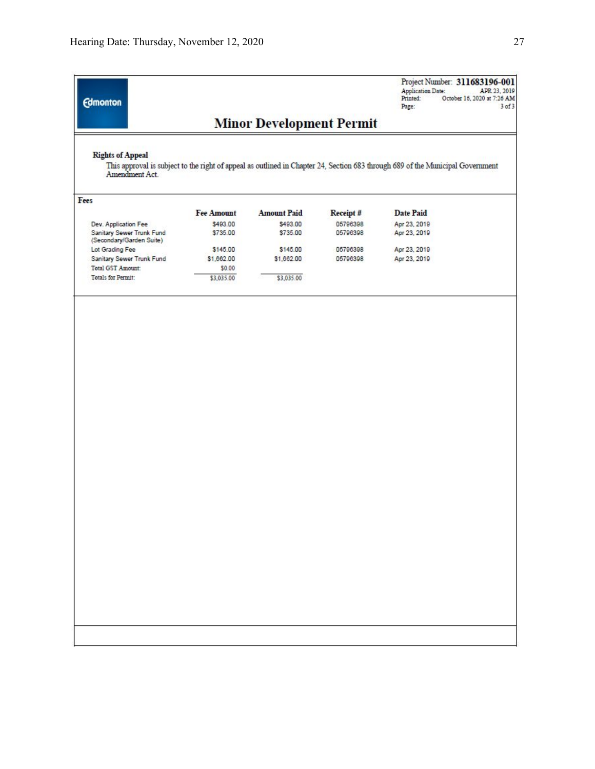| <b>Edmonton</b>                                       |                   |                                 |          | Project Number: 311683196-001<br><b>Application Date:</b><br>Printed:<br>Page:                                                 | APR 23, 2019<br>October 16, 2020 at 7:26 AM<br>$3$ of $3$ |
|-------------------------------------------------------|-------------------|---------------------------------|----------|--------------------------------------------------------------------------------------------------------------------------------|-----------------------------------------------------------|
|                                                       |                   | <b>Minor Development Permit</b> |          |                                                                                                                                |                                                           |
| <b>Rights of Appeal</b><br>Amendment Act.             |                   |                                 |          | This approval is subject to the right of appeal as outlined in Chapter 24, Section 683 through 689 of the Municipal Government |                                                           |
| Fees                                                  |                   |                                 |          |                                                                                                                                |                                                           |
|                                                       | <b>Fee Amount</b> | <b>Amount Paid</b>              | Receipt# | Date Paid                                                                                                                      |                                                           |
| Dev. Application Fee                                  | \$493.00          | \$493.00                        | 05796398 | Apr 23, 2019                                                                                                                   |                                                           |
| Sanitary Sewer Trunk Fund<br>(Secondary/Garden Suite) | \$735.00          | \$735.00                        | 05796398 | Apr 23, 2019                                                                                                                   |                                                           |
| Lot Grading Fee                                       | \$145.00          | \$145.00                        | 05796398 | Apr 23, 2019                                                                                                                   |                                                           |
| Sanitary Sewer Trunk Fund                             | \$1,662.00        | \$1,662.00                      | 05796398 | Apr 23, 2019                                                                                                                   |                                                           |
| Total GST Amount:                                     | \$0.00            |                                 |          |                                                                                                                                |                                                           |
| Totals for Permit:                                    | \$3,035.00        | \$3,035.00                      |          |                                                                                                                                |                                                           |
|                                                       |                   |                                 |          |                                                                                                                                |                                                           |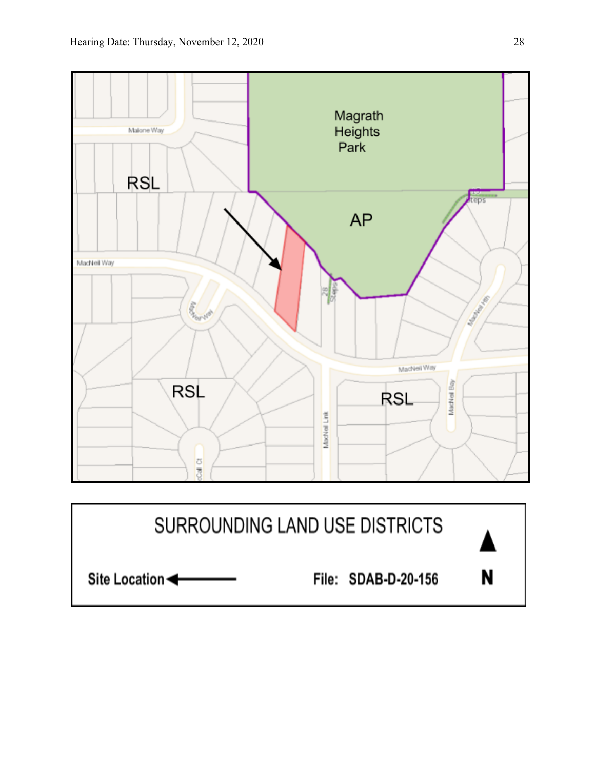

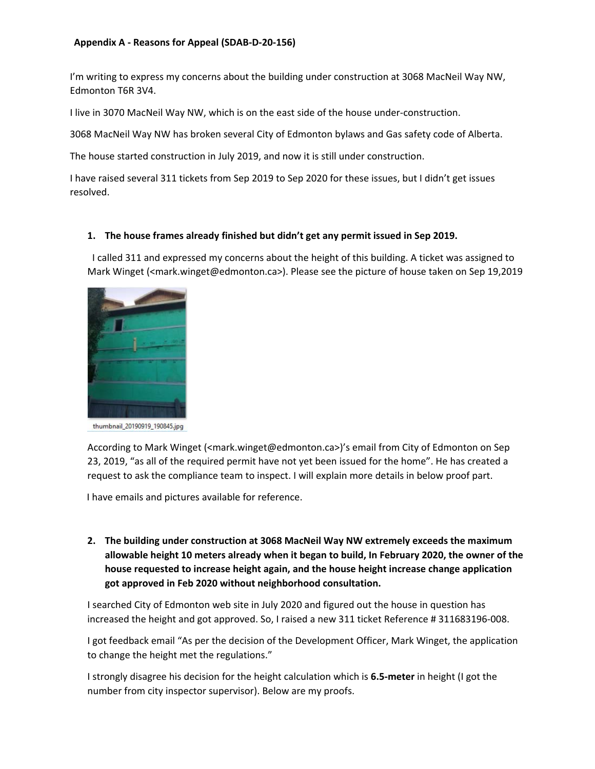# **Appendix A - Reasons for Appeal (SDAB-D-20-156)**

I'm writing to express my concerns about the building under construction at 3068 MacNeil Way NW, Edmonton T6R 3V4.

I live in 3070 MacNeil Way NW, which is on the east side of the house under‐construction.

3068 MacNeil Way NW has broken several City of Edmonton bylaws and Gas safety code of Alberta.

The house started construction in July 2019, and now it is still under construction.

I have raised several 311 tickets from Sep 2019 to Sep 2020 for these issues, but I didn't get issues resolved.

### **1. The house frames already finished but didn't get any permit issued in Sep 2019.**

 I called 311 and expressed my concerns about the height of this building. A ticket was assigned to Mark Winget (<mark.winget@edmonton.ca>). Please see the picture of house taken on Sep 19,2019



thumbnail\_20190919\_190845.jpg

According to Mark Winget (<mark.winget@edmonton.ca>)'s email from City of Edmonton on Sep 23, 2019, "as all of the required permit have not yet been issued for the home". He has created a request to ask the compliance team to inspect. I will explain more details in below proof part.

I have emails and pictures available for reference.

**2. The building under construction at 3068 MacNeil Way NW extremely exceeds the maximum allowable height 10 meters already when it began to build, In February 2020, the owner of the house requested to increase height again, and the house height increase change application got approved in Feb 2020 without neighborhood consultation.**

I searched City of Edmonton web site in July 2020 and figured out the house in question has increased the height and got approved. So, I raised a new 311 ticket Reference # 311683196‐008.

I got feedback email "As per the decision of the Development Officer, Mark Winget, the application to change the height met the regulations."

I strongly disagree his decision for the height calculation which is **6.5‐meter** in height (I got the number from city inspector supervisor). Below are my proofs.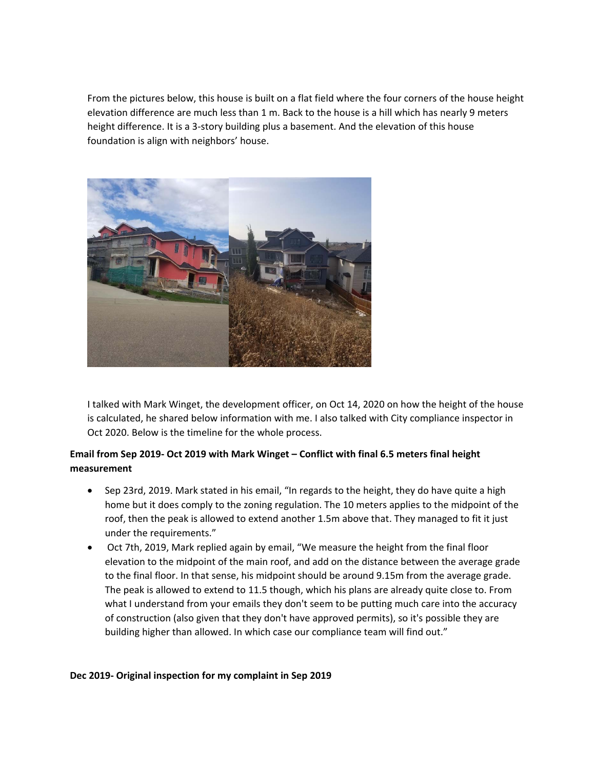From the pictures below, this house is built on a flat field where the four corners of the house height elevation difference are much less than 1 m. Back to the house is a hill which has nearly 9 meters height difference. It is a 3‐story building plus a basement. And the elevation of this house foundation is align with neighbors' house.



I talked with Mark Winget, the development officer, on Oct 14, 2020 on how the height of the house is calculated, he shared below information with me. I also talked with City compliance inspector in Oct 2020. Below is the timeline for the whole process.

# **Email from Sep 2019‐ Oct 2019 with Mark Winget – Conflict with final 6.5 meters final height measurement**

- Sep 23rd, 2019. Mark stated in his email, "In regards to the height, they do have quite a high home but it does comply to the zoning regulation. The 10 meters applies to the midpoint of the roof, then the peak is allowed to extend another 1.5m above that. They managed to fit it just under the requirements."
- Oct 7th, 2019, Mark replied again by email, "We measure the height from the final floor elevation to the midpoint of the main roof, and add on the distance between the average grade to the final floor. In that sense, his midpoint should be around 9.15m from the average grade. The peak is allowed to extend to 11.5 though, which his plans are already quite close to. From what I understand from your emails they don't seem to be putting much care into the accuracy of construction (also given that they don't have approved permits), so it's possible they are building higher than allowed. In which case our compliance team will find out."

## **Dec 2019‐ Original inspection for my complaint in Sep 2019**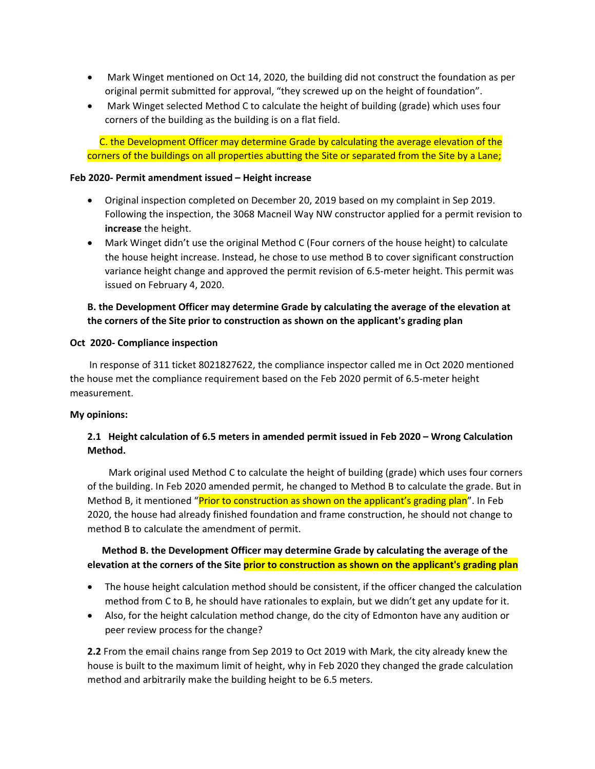- Mark Winget mentioned on Oct 14, 2020, the building did not construct the foundation as per original permit submitted for approval, "they screwed up on the height of foundation".
- Mark Winget selected Method C to calculate the height of building (grade) which uses four corners of the building as the building is on a flat field.

C. the Development Officer may determine Grade by calculating the average elevation of the corners of the buildings on all properties abutting the Site or separated from the Site by a Lane;

#### **Feb 2020‐ Permit amendment issued – Height increase**

- Original inspection completed on December 20, 2019 based on my complaint in Sep 2019. Following the inspection, the 3068 Macneil Way NW constructor applied for a permit revision to **increase** the height.
- Mark Winget didn't use the original Method C (Four corners of the house height) to calculate the house height increase. Instead, he chose to use method B to cover significant construction variance height change and approved the permit revision of 6.5‐meter height. This permit was issued on February 4, 2020.

# **B. the Development Officer may determine Grade by calculating the average of the elevation at the corners of the Site prior to construction as shown on the applicant's grading plan**

### **Oct 2020‐ Compliance inspection**

 In response of 311 ticket 8021827622, the compliance inspector called me in Oct 2020 mentioned the house met the compliance requirement based on the Feb 2020 permit of 6.5-meter height measurement.

## **My opinions:**

# **2.1 Height calculation of 6.5 meters in amended permit issued in Feb 2020 – Wrong Calculation Method.**

 Mark original used Method C to calculate the height of building (grade) which uses four corners of the building. In Feb 2020 amended permit, he changed to Method B to calculate the grade. But in Method B, it mentioned "Prior to construction as shown on the applicant's grading plan". In Feb 2020, the house had already finished foundation and frame construction, he should not change to method B to calculate the amendment of permit.

# **Method B. the Development Officer may determine Grade by calculating the average of the elevation at the corners of the Site prior to construction as shown on the applicant's grading plan**

- The house height calculation method should be consistent, if the officer changed the calculation method from C to B, he should have rationales to explain, but we didn't get any update for it.
- Also, for the height calculation method change, do the city of Edmonton have any audition or peer review process for the change?

**2.2** From the email chains range from Sep 2019 to Oct 2019 with Mark, the city already knew the house is built to the maximum limit of height, why in Feb 2020 they changed the grade calculation method and arbitrarily make the building height to be 6.5 meters.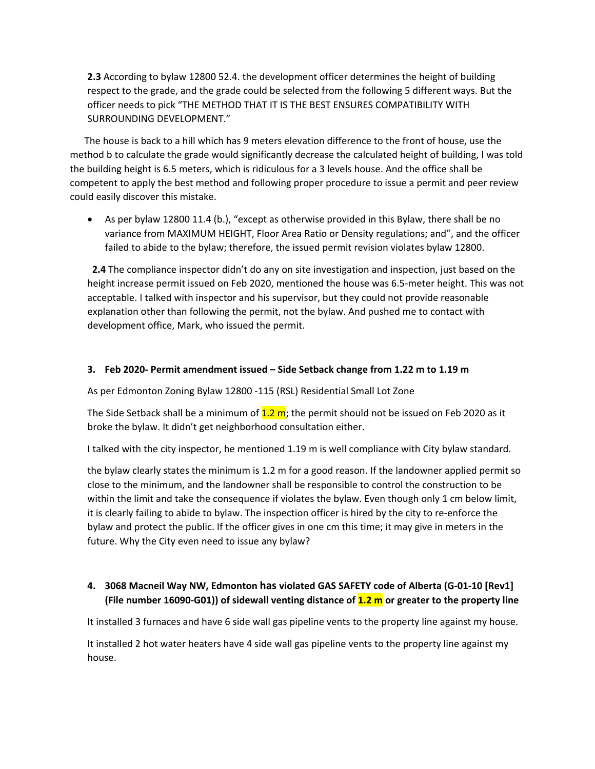**2.3** According to bylaw 12800 52.4. the development officer determines the height of building respect to the grade, and the grade could be selected from the following 5 different ways. But the officer needs to pick "THE METHOD THAT IT IS THE BEST ENSURES COMPATIBILITY WITH SURROUNDING DEVELOPMENT."

 The house is back to a hill which has 9 meters elevation difference to the front of house, use the method b to calculate the grade would significantly decrease the calculated height of building, I was told the building height is 6.5 meters, which is ridiculous for a 3 levels house. And the office shall be competent to apply the best method and following proper procedure to issue a permit and peer review could easily discover this mistake.

 As per bylaw 12800 11.4 (b.), "except as otherwise provided in this Bylaw, there shall be no variance from MAXIMUM HEIGHT, Floor Area Ratio or Density regulations; and", and the officer failed to abide to the bylaw; therefore, the issued permit revision violates bylaw 12800.

 **2.4** The compliance inspector didn't do any on site investigation and inspection, just based on the height increase permit issued on Feb 2020, mentioned the house was 6.5-meter height. This was not acceptable. I talked with inspector and his supervisor, but they could not provide reasonable explanation other than following the permit, not the bylaw. And pushed me to contact with development office, Mark, who issued the permit.

# **3. Feb 2020‐ Permit amendment issued – Side Setback change from 1.22 m to 1.19 m**

As per Edmonton Zoning Bylaw 12800 ‐115 (RSL) Residential Small Lot Zone

The Side Setback shall be a minimum of  $1.2$  m; the permit should not be issued on Feb 2020 as it broke the bylaw. It didn't get neighborhood consultation either.

I talked with the city inspector, he mentioned 1.19 m is well compliance with City bylaw standard.

the bylaw clearly states the minimum is 1.2 m for a good reason. If the landowner applied permit so close to the minimum, and the landowner shall be responsible to control the construction to be within the limit and take the consequence if violates the bylaw. Even though only 1 cm below limit, it is clearly failing to abide to bylaw. The inspection officer is hired by the city to re‐enforce the bylaw and protect the public. If the officer gives in one cm this time; it may give in meters in the future. Why the City even need to issue any bylaw?

# **4. 3068 Macneil Way NW, Edmonton has violated GAS SAFETY code of Alberta (G‐01‐10 [Rev1] (File number 16090‐G01)) of sidewall venting distance of 1.2 m or greater to the property line**

It installed 3 furnaces and have 6 side wall gas pipeline vents to the property line against my house.

It installed 2 hot water heaters have 4 side wall gas pipeline vents to the property line against my house.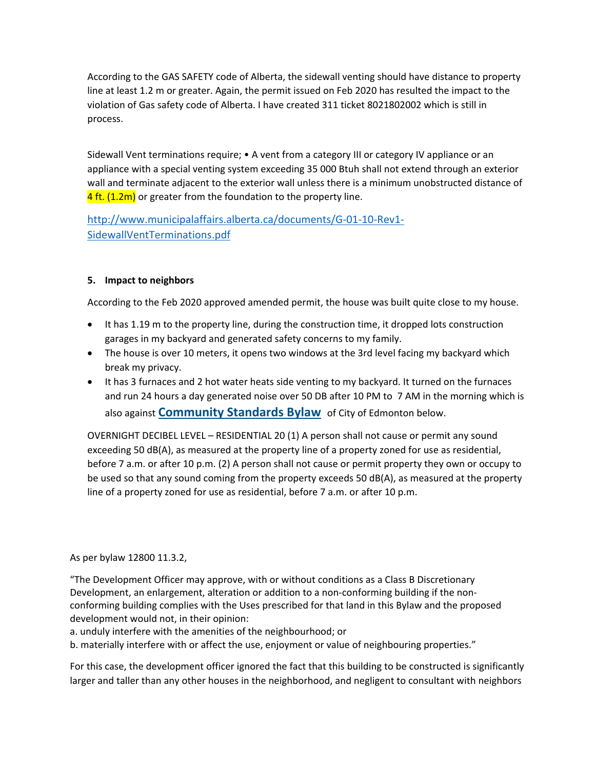According to the GAS SAFETY code of Alberta, the sidewall venting should have distance to property line at least 1.2 m or greater. Again, the permit issued on Feb 2020 has resulted the impact to the violation of Gas safety code of Alberta. I have created 311 ticket 8021802002 which is still in process.

Sidewall Vent terminations require; • A vent from a category III or category IV appliance or an appliance with a special venting system exceeding 35 000 Btuh shall not extend through an exterior wall and terminate adjacent to the exterior wall unless there is a minimum unobstructed distance of  $4$  ft. (1.2m) or greater from the foundation to the property line.

http://www.municipalaffairs.alberta.ca/documents/G‐01‐10‐Rev1‐ SidewallVentTerminations.pdf

# **5. Impact to neighbors**

According to the Feb 2020 approved amended permit, the house was built quite close to my house.

- It has 1.19 m to the property line, during the construction time, it dropped lots construction garages in my backyard and generated safety concerns to my family.
- The house is over 10 meters, it opens two windows at the 3rd level facing my backyard which break my privacy.
- It has 3 furnaces and 2 hot water heats side venting to my backyard. It turned on the furnaces and run 24 hours a day generated noise over 50 DB after 10 PM to 7 AM in the morning which is also against **Community Standards Bylaw** of City of Edmonton below.

OVERNIGHT DECIBEL LEVEL – RESIDENTIAL 20 (1) A person shall not cause or permit any sound exceeding 50 dB(A), as measured at the property line of a property zoned for use as residential, before 7 a.m. or after 10 p.m. (2) A person shall not cause or permit property they own or occupy to be used so that any sound coming from the property exceeds 50 dB(A), as measured at the property line of a property zoned for use as residential, before 7 a.m. or after 10 p.m.

As per bylaw 12800 11.3.2,

"The Development Officer may approve, with or without conditions as a Class B Discretionary Development, an enlargement, alteration or addition to a non-conforming building if the nonconforming building complies with the Uses prescribed for that land in this Bylaw and the proposed development would not, in their opinion:

a. unduly interfere with the amenities of the neighbourhood; or

b. materially interfere with or affect the use, enjoyment or value of neighbouring properties."

For this case, the development officer ignored the fact that this building to be constructed is significantly larger and taller than any other houses in the neighborhood, and negligent to consultant with neighbors